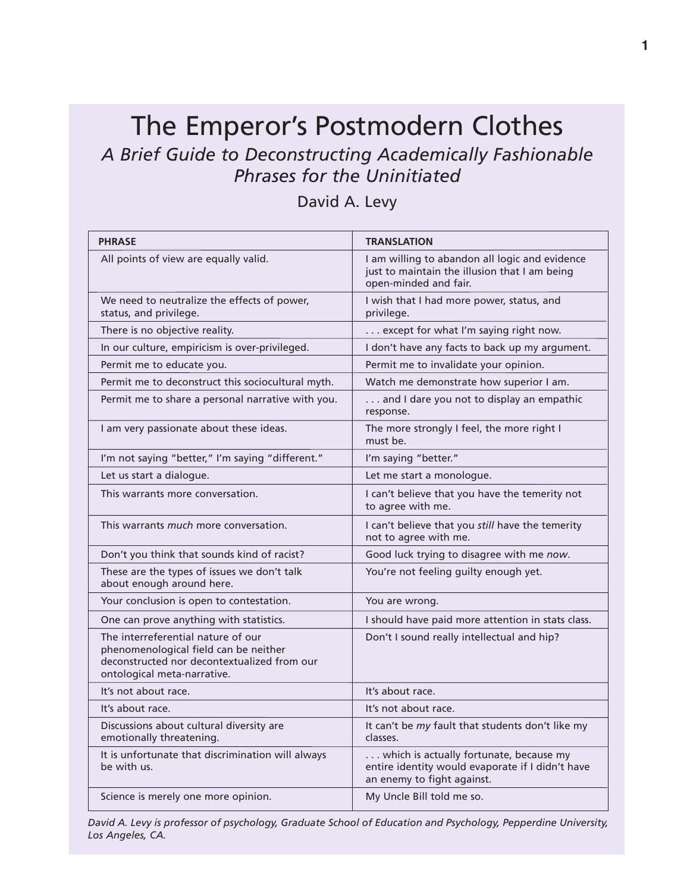## The Emperor's Postmodern Clothes *A Brief Guide to Deconstructing Academically Fashionable Phrases for the Uninitiated*

David A. Levy

| <b>PHRASE</b>                                                                                                                                             | <b>TRANSLATION</b>                                                                                                        |
|-----------------------------------------------------------------------------------------------------------------------------------------------------------|---------------------------------------------------------------------------------------------------------------------------|
| All points of view are equally valid.                                                                                                                     | I am willing to abandon all logic and evidence<br>just to maintain the illusion that I am being<br>open-minded and fair.  |
| We need to neutralize the effects of power,<br>status, and privilege.                                                                                     | I wish that I had more power, status, and<br>privilege.                                                                   |
| There is no objective reality.                                                                                                                            | except for what I'm saying right now.                                                                                     |
| In our culture, empiricism is over-privileged.                                                                                                            | I don't have any facts to back up my argument.                                                                            |
| Permit me to educate you.                                                                                                                                 | Permit me to invalidate your opinion.                                                                                     |
| Permit me to deconstruct this sociocultural myth.                                                                                                         | Watch me demonstrate how superior I am.                                                                                   |
| Permit me to share a personal narrative with you.                                                                                                         | and I dare you not to display an empathic<br>response.                                                                    |
| I am very passionate about these ideas.                                                                                                                   | The more strongly I feel, the more right I<br>must be.                                                                    |
| I'm not saying "better," I'm saying "different."                                                                                                          | I'm saying "better."                                                                                                      |
| Let us start a dialogue.                                                                                                                                  | Let me start a monologue.                                                                                                 |
| This warrants more conversation.                                                                                                                          | I can't believe that you have the temerity not<br>to agree with me.                                                       |
| This warrants <i>much</i> more conversation.                                                                                                              | I can't believe that you still have the temerity<br>not to agree with me.                                                 |
| Don't you think that sounds kind of racist?                                                                                                               | Good luck trying to disagree with me now.                                                                                 |
| These are the types of issues we don't talk<br>about enough around here.                                                                                  | You're not feeling guilty enough yet.                                                                                     |
| Your conclusion is open to contestation.                                                                                                                  | You are wrong.                                                                                                            |
| One can prove anything with statistics.                                                                                                                   | I should have paid more attention in stats class.                                                                         |
| The interreferential nature of our<br>phenomenological field can be neither<br>deconstructed nor decontextualized from our<br>ontological meta-narrative. | Don't I sound really intellectual and hip?                                                                                |
| It's not about race.                                                                                                                                      | It's about race.                                                                                                          |
| It's about race.                                                                                                                                          | It's not about race.                                                                                                      |
| Discussions about cultural diversity are<br>emotionally threatening.                                                                                      | It can't be my fault that students don't like my<br>classes.                                                              |
| It is unfortunate that discrimination will always<br>be with us.                                                                                          | which is actually fortunate, because my<br>entire identity would evaporate if I didn't have<br>an enemy to fight against. |
| Science is merely one more opinion.                                                                                                                       | My Uncle Bill told me so.                                                                                                 |

*David A. Levy is professor of psychology, Graduate School of Education and Psychology, Pepperdine University, Los Angeles, CA.*